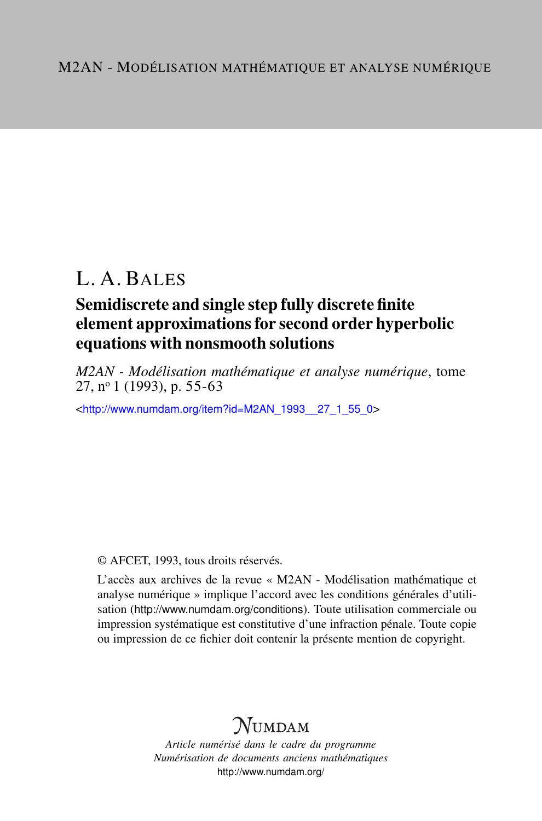# L. A. BALES

### Semidiscrete and single step fully discrete finite element approximations for second order hyperbolic equations with nonsmooth solutions

*M2AN - Modélisation mathématique et analyse numérique*, tome 27, n<sup>o</sup> 1 (1993), p. 55-63

<[http://www.numdam.org/item?id=M2AN\\_1993\\_\\_27\\_1\\_55\\_0](http://www.numdam.org/item?id=M2AN_1993__27_1_55_0)>

© AFCET, 1993, tous droits réservés.

L'accès aux archives de la revue « M2AN - Modélisation mathématique et analyse numérique » implique l'accord avec les conditions générales d'utilisation (<http://www.numdam.org/conditions>). Toute utilisation commerciale ou impression systématique est constitutive d'une infraction pénale. Toute copie ou impression de ce fichier doit contenir la présente mention de copyright.

## $\mathcal{N}$ umdam

*Article numérisé dans le cadre du programme Numérisation de documents anciens mathématiques* <http://www.numdam.org/>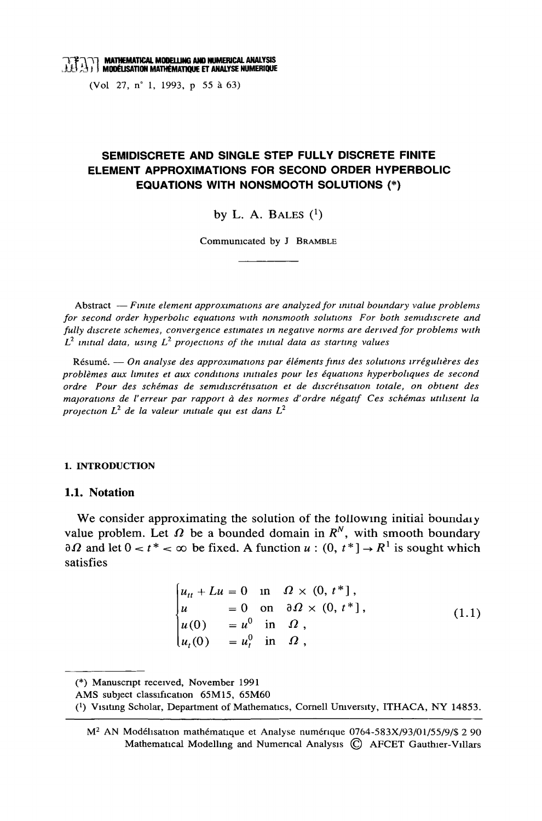(Vol. 27, n° 1, 1993, p 55 à 63)

### SEMIDISCRETE AND SINGLE STEP FULLY DISCRETE FINITE ELEMENT APPROXIMATIONS FOR SECOND ORDER HYPERBOLIC **EQUATIONS WITH NONSMOOTH SOLUTIONS (\*)**

by L. A. BALES  $(1)$ 

Communicated by J BRAMBLE

Abstract  $-F$  mite element approximations are analyzed for initial boundary value problems for second order hyperbolic equations with nonsmooth solutions For both semidiscrete and fully discrete schemes, convergence estimates in negative norms are derived for problems with  $L^2$  initial data, using  $L^2$  projections of the initial data as starting values

Résumé. — On analyse des approximations par éléments finis des solutions irrégulières des problèmes aux limites et aux conditions initiales pour les équations hyperboliques de second ordre Pour des schémas de semidiscrétisation et de discrétisation totale, on obtient des majorations de l'erreur par rapport à des normes d'ordre négatif Ces schémas utilisent la projection  $L^2$  de la valeur initiale qui est dans  $L^2$ 

#### 1. INTRODUCTION

#### 1.1. Notation

We consider approximating the solution of the following initial boundary value problem. Let  $\Omega$  be a bounded domain in  $R^N$ , with smooth boundary  $\partial \Omega$  and let  $0 < t^* < \infty$  be fixed. A function  $u : (0, t^*] \to R^1$  is sought which satisfies

$$
\begin{cases}\n u_{tt} + Lu = 0 & \text{in} \quad \Omega \times (0, t^*], \\
 u = 0 & \text{on} \quad \partial \Omega \times (0, t^*], \\
 u(0) = u^0 & \text{in} \quad \Omega, \\
 u_t(0) = u_t^0 & \text{in} \quad \Omega,\n\end{cases}
$$
\n(1.1)

<sup>(\*)</sup> Manuscript received, November 1991

AMS subject classification 65M15, 65M60

<sup>&</sup>lt;sup>(1</sup>) Visiting Scholar, Department of Mathematics, Cornell University, ITHACA, NY 14853.

M<sup>2</sup> AN Modélisation mathématique et Analyse numérique 0764-583X/93/01/55/9/\$ 2 90 Mathematical Modelling and Numerical Analysis (C) AFCET Gauthier-Villars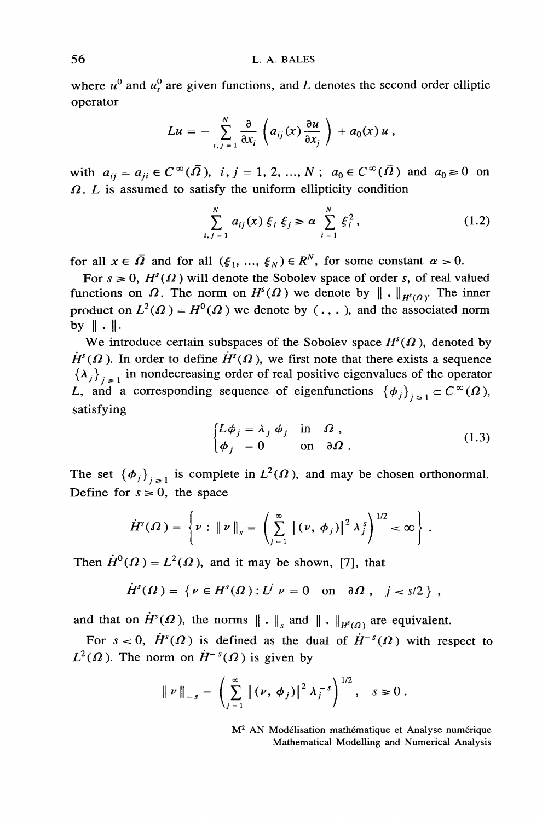where  $u^0$  and  $u^0$  are given functions, and L denotes the second order elliptic operator

$$
Lu = - \sum_{i,j=1}^N \frac{\partial}{\partial x_i} \left( a_{ij}(x) \frac{\partial u}{\partial x_j} \right) + a_0(x) u,
$$

with  $a_{ij} = a_{ji} \in C^{\infty}(\overline{\Omega})$ ,  $i, j = 1, 2, ..., N$ ;  $a_0 \in C^{\infty}(\overline{\Omega})$  and  $a_0 \ge 0$  on  $\Omega$ . L is assumed to satisfy the uniform ellipticity condition

$$
\sum_{i,j=1}^{N} a_{ij}(x) \xi_i \xi_j \ge \alpha \sum_{i=1}^{N} \xi_i^2,
$$
 (1.2)

for all  $x \in \overline{\Omega}$  and for all  $(\xi_1, ..., \xi_N) \in R^N$ , for some constant  $\alpha > 0$ .

For  $s \ge 0$ ,  $H^s(\Omega)$  will denote the Sobolev space of order s, of real valued functions on  $\Omega$ . The norm on  $H^{s}(\Omega)$  we denote by  $\|\cdot\|_{H^{s}(\Omega)}$ . The inner product on  $L^2(\Omega) = H^0(\Omega)$  we denote by  $(., .),$  and the associated norm by  $\|\cdot\|$ .

We introduce certain subspaces of the Sobolev space  $H<sup>s</sup>(\Omega)$ , denoted by  $\dot{H}^s(\Omega)$ . In order to define  $\dot{H}^s(\Omega)$ , we first note that there exists a sequence  $\{\lambda_j\}_{j=1}$  in nondecreasing order of real positive eigenvalues of the operator L, and a corresponding sequence of eigenfunctions  $\{\phi_j\}_{j=1} \subset C^{\infty}(\Omega)$ , satisfying

$$
\begin{cases}\nL\phi_j = \lambda_j \phi_j & \text{in } \Omega, \\
\phi_j = 0 & \text{on } \partial\Omega.\n\end{cases}
$$
\n(1.3)

The set  $\{\phi_j\}_{j\geq 1}$  is complete in  $L^2(\Omega)$ , and may be chosen orthonormal. Define for  $s \ge 0$ , the space

$$
\dot{H}^{s}(\Omega) = \left\{\nu: \left\|\nu\right\|_{s} = \left(\sum_{j=1}^{\infty} \left|\left(\nu, \phi_{j}\right)\right|^{2} \lambda_{j}^{s}\right)^{1/2} < \infty\right\}.
$$

Then  $\dot{H}^0(\Omega) = L^2(\Omega)$ , and it may be shown, [7], that

$$
H^{s}(\Omega) = \{ \nu \in H^{s}(\Omega) : L^{j} \nu = 0 \quad \text{on} \quad \partial \Omega, \quad j < s/2 \},
$$

and that on  $\dot{H}^s(\Omega)$ , the norms  $\|\cdot\|_{s}$  and  $\|\cdot\|_{H^s(\Omega)}$  are equivalent.

For  $s < 0$ ,  $\dot{H}^s(\Omega)$  is defined as the dual of  $\dot{H}^{-s}(\Omega)$  with respect to  $L^2(\Omega)$ . The norm on  $\dot{H}^{-s}(\Omega)$  is given by

$$
\|\nu\|_{-s} = \left(\sum_{j=1}^{\infty} |(\nu, \phi_j)|^2 \lambda_j^{-s}\right)^{1/2}, \quad s \ge 0.
$$

M<sup>2</sup> AN Modélisation mathématique et Analyse numérique Mathematical Modelling and Numerical Analysis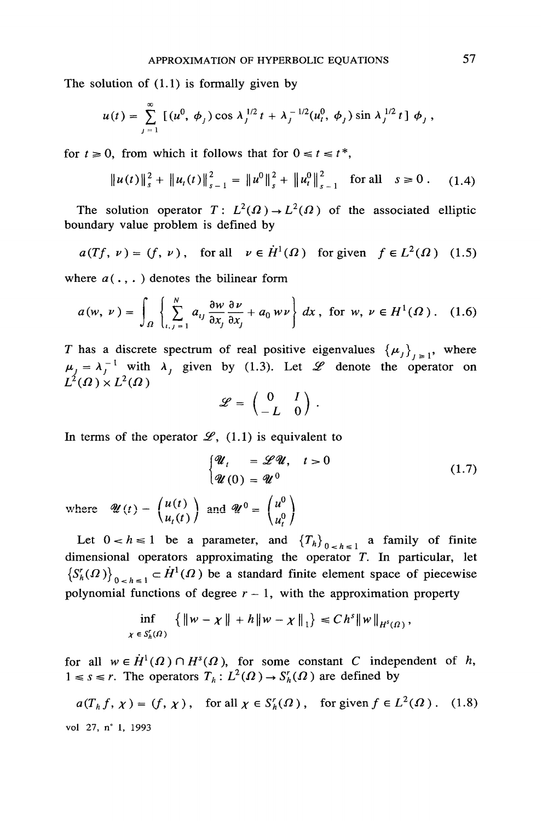The solution of  $(1.1)$  is formally given by

$$
u(t) = \sum_{j=1}^{\infty} \left[ (u^0, \phi_j) \cos \lambda_j^{1/2} t + \lambda_j^{-1/2} (u_t^0, \phi_j) \sin \lambda_j^{1/2} t \right] \phi_j,
$$

for  $t \ge 0$ , from which it follows that for  $0 \le t \le t^*$ ,

$$
\|u(t)\|_{s}^{2} + \|u_{t}(t)\|_{s-1}^{2} = \|u^{0}\|_{s}^{2} + \|u_{t}^{0}\|_{s-1}^{2} \text{ for all } s \geq 0. \quad (1.4)
$$

The solution operator  $T: L^2(\Omega) \to L^2(\Omega)$  of the associated elliptic boundary value problem is defined by

$$
a(Tf, \nu) = (f, \nu)
$$
, for all  $\nu \in \dot{H}^1(\Omega)$  for given  $f \in L^2(\Omega)$  (1.5)

where  $a(\cdot, \cdot)$  denotes the bilinear form

$$
a(w, v) = \int_{\Omega} \left\{ \sum_{i,j=1}^{N} a_{ij} \frac{\partial w}{\partial x_j} \frac{\partial v}{\partial x_j} + a_0 w v \right\} dx, \text{ for } w, v \in H^1(\Omega). \quad (1.6)
$$

T has a discrete spectrum of real positive eigenvalues  $\{\mu_j\}_{j \geq 1}$ , where  $\mu_j = \lambda_j^{-1}$  with  $\lambda_j$  given by (1.3). Let  $\mathcal L$  denote the operator on  $L^2(\Omega) \times L^2(\Omega)$ 

$$
\mathscr{L} = \begin{pmatrix} 0 & I \\ -L & 0 \end{pmatrix}.
$$

In terms of the operator  $\mathscr{L}_{1}(1,1)$  is equivalent to

$$
\begin{cases} \mathcal{U}_t = \mathcal{L}\mathcal{U}, & t > 0 \\ \mathcal{U}(0) = \mathcal{U}^0 \end{cases}
$$
 (1.7)

where  $\mathscr{U}(t) - \begin{pmatrix} u(t) \\ u_t(t) \end{pmatrix}$  and  $\mathscr{U}^0 = \begin{pmatrix} u^0 \\ u^0 \end{pmatrix}$ 

Let  $0 < h \le 1$  be a parameter, and  $\{T_h\}_{0 < h \le 1}$  a family of finite dimensional operators approximating the operator  $T$ . In particular, let  $(S_h'(0))_{0 \leq h \leq 1}$   $\subset \dot{H}^1(\Omega)$  be a standard finite element space of piecewise polynomial functions of degree  $r - 1$ , with the approximation property

$$
\inf_{\chi \in S_h^r(\Omega)} \left\{ \|w - \chi\| + h \|w - \chi\|_1 \right\} \leq C h^s \|w\|_{H^s(\Omega)},
$$

for all  $w \in \dot{H}^1(\Omega) \cap H^s(\Omega)$ , for some constant C independent of h,  $1 \leq s \leq r$ . The operators  $T_h: L^2(\Omega) \to S_h^r(\Omega)$  are defined by

$$
a(Th f, \chi) = (f, \chi), \text{ for all } \chi \in S_h'(\Omega), \text{ for given } f \in L^2(\Omega). \quad (1.8)
$$
  
vol 27, n<sup>\*</sup> 1, 1993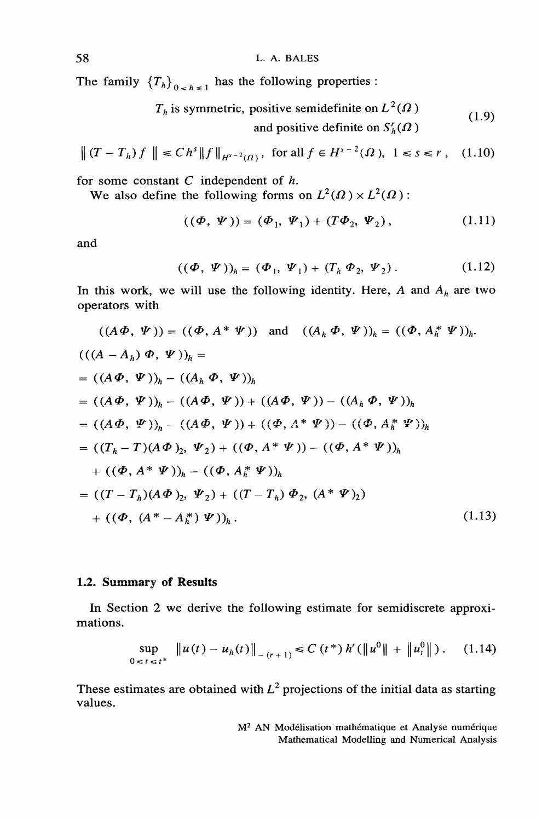L. A. BALES

The family  $\{T_h\}_{0 \leq h \leq 1}$  has the following properties:

$$
T_h
$$
 is symmetric, positive semidefinite on  $L^2(\Omega)$   
and positive definite on  $S'_h(\Omega)$  (1.9)

$$
\|(T - T_h)f\| \le Ch^s \|f\|_{H^{s-2}(\Omega)}, \text{ for all } f \in H^{s-2}(\Omega), \ 1 \le s \le r, \quad (1.10)
$$

for some constant  $C$  independent of  $h$ .

We also define the following forms on  $L^2(\Omega) \times L^2(\Omega)$ :

$$
((\Phi, \Psi)) = (\Phi_1, \Psi_1) + (T\Phi_2, \Psi_2), \qquad (1.11)
$$

and

$$
((\Phi, \Psi))_h = (\Phi_1, \Psi_1) + (T_h \Phi_2, \Psi_2).
$$
 (1.12)

In this work, we will use the following identity. Here, A and  $A_h$  are two operators with

$$
((A \Phi, \Psi)) = ((\Phi, A^* \Psi)) \text{ and } ((A_h \Phi, \Psi))_h = ((\Phi, A^* \Psi))_h.
$$
  

$$
(((A - A_h) \Phi, \Psi))_h =
$$
  

$$
= ((A \Phi, \Psi))_h - ((A_h \Phi, \Psi))_h
$$
  

$$
= ((A \Phi, \Psi))_h - ((A \Phi, \Psi)) + ((A \Phi, \Psi)) - ((A_h \Phi, \Psi))_h
$$
  

$$
= ((A \Phi, \Psi))_h - ((A \Phi, \Psi)) + ((\Phi, A^* \Psi)) - ((\Phi, A^* \Psi))_h
$$
  

$$
= ((T_h - T)(A \Phi)_2, \Psi_2) + ((\Phi, A^* \Psi)) - ((\Phi, A^* \Psi))_h
$$
  

$$
+ ((\Phi, A^* \Psi))_h - ((\Phi, A^* \Psi))_h
$$
  

$$
= ((T - T_h)(A \Phi)_2, \Psi_2) + ((T - T_h) \Phi_2, (A^* \Psi)_2)
$$
  

$$
+ ((\Phi, (A^* - A^*_{h}) \Psi))_h.
$$
 (1.13)

#### 1.2. Summary of Results

In Section 2 we derive the following estimate for semidiscrete approximations.

$$
\sup_{0 \leq t \leq t^{*}} \| u(t) - u_{h}(t) \|_{-(r+1)} \leq C \left( t^{*} \right) h^{r} \left( \| u^{0} \| + \| u_{t}^{0} \| \right). \tag{1.14}
$$

These estimates are obtained with  $L^2$  projections of the initial data as starting values.

> M<sup>2</sup> AN Modélisation mathématique et Analyse numérique Mathematical Modelling and Numerical Analysis

58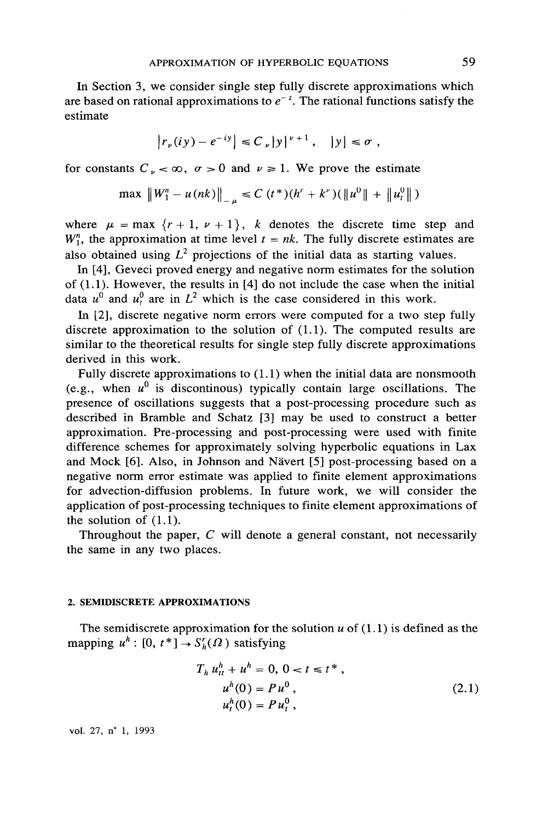In Section 3, we consider single step fully discrete approximations which are based on rational approximations to  $e^{-z}$ . The rational functions satisfy the estimate.

$$
|r_{\nu}(iy) - e^{-iy}| \leq C_{\nu}|y|^{\nu+1}, \quad |y| \leq \sigma
$$

for constants  $C_{\nu} < \infty$ ,  $\sigma > 0$  and  $\nu \ge 1$ . We prove the estimate

$$
\max \|W_1^n - u(nk)\|_{u} \le C (t^*)(h^r + k^{\nu})(\|u^0\| + \|u^0\|)
$$

where  $\mu = \max \{r + 1, v + 1\}$ , k denotes the discrete time step and  $W_1^n$ , the approximation at time level  $t = nk$ . The fully discrete estimates are also obtained using  $L^2$  projections of the initial data as starting values.

In [4], Geveci proved energy and negative norm estimates for the solution of  $(1.1)$ . However, the results in [4] do not include the case when the initial data  $u^0$  and  $u^0$  are in  $L^2$  which is the case considered in this work.

In  $[2]$ , discrete negative norm errors were computed for a two step fully discrete approximation to the solution of  $(1.1)$ . The computed results are similar to the theoretical results for single step fully discrete approximations derived in this work.

Fully discrete approximations to  $(1.1)$  when the initial data are nonsmooth (e.g., when  $u^0$  is discontinous) typically contain large oscillations. The presence of oscillations suggests that a post-processing procedure such as described in Bramble and Schatz [3] may be used to construct a better approximation. Pre-processing and post-processing were used with finite difference schemes for approximately solving hyperbolic equations in Lax and Mock [6]. Also, in Johnson and Nävert [5] post-processing based on a negative norm error estimate was applied to finite element approximations for advection-diffusion problems. In future work, we will consider the application of post-processing techniques to finite element approximations of the solution of  $(1.1)$ .

Throughout the paper,  $C$  will denote a general constant, not necessarily the same in any two places.

#### 2. SEMIDISCRETE APPROXIMATIONS

The semidiscrete approximation for the solution  $u$  of  $(1.1)$  is defined as the mapping  $u^h$ : [0,  $t^*$ ]  $\rightarrow$   $S_h^r(\Omega)$  satisfying

$$
T_h u_t^n + u^h = 0, 0 < t \le t^*,
$$
  
\n
$$
u^h(0) = Pu^0,
$$
  
\n
$$
u_t^h(0) = Pu_t^0,
$$
\n(2.1)

vol. 27, n° 1, 1993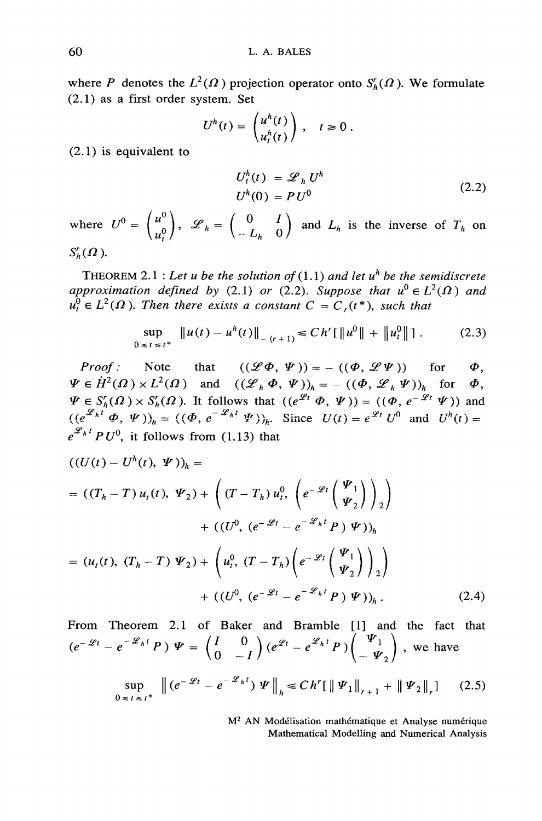where P denotes the  $L^2(\Omega)$  projection operator onto  $S_h^r(\Omega)$ . We formulate  $(2.1)$  as a first order system. Set

$$
U^h(t) = \begin{pmatrix} u^h(t) \\ u^h(t) \end{pmatrix}, \quad t \ge 0.
$$

 $(2.1)$  is equivalent to

$$
U_t^h(t) = \mathcal{L}_h U^h
$$
  
\n
$$
U^h(0) = PU^0
$$
\n(2.2)

where  $U^0 = \begin{pmatrix} u^0 \\ u^0 \end{pmatrix}$ ,  $\mathscr{L}_h = \begin{pmatrix} 0 & I \\ -L_h & 0 \end{pmatrix}$  and  $L_h$  is the inverse of  $T_h$  on  $S_{\iota}^r(\Omega)$ .

THEOREM 2.1 : Let u be the solution of  $(1.1)$  and let u<sup>h</sup> be the semidiscrete approximation defined by (2.1) or (2.2). Suppose that  $u^0 \in L^2(\Omega)$  and  $u_t^0 \in L^2(\Omega)$ . Then there exists a constant  $C = C_r(t^*)$ , such that

$$
\sup_{0 \leq t \leq t^*} \|u(t) - u^h(t)\|_{- (r+1)} \leq C h^r [\|u^0\| + \|u^0\|] \,. \tag{2.3}
$$

Note that  $((\mathscr{L}\Phi, \Psi)) = -((\Phi, \mathscr{L}\Psi))$  for Proof:  $\Phi$ .  $\Psi \in \dot{H}^2(\Omega) \times L^2(\Omega)$  and  $((\mathcal{L}_h \Phi, \Psi))_h = -((\Phi, \mathcal{L}_h \Psi))_h$  for  $\Phi$ ,<br>  $\Psi \in S_h^r(\Omega) \times S_h^r(\Omega)$ . It follows that  $((e^{\mathcal{L}_l} \Phi, \Psi)) = ((\Phi, e^{-\mathcal{L}_l} \Psi))$  and<br>  $((e^{\mathcal{L}_h t} \Phi, \Psi))_h = ((\Phi, e^{-\mathcal{L}_h t} \Psi))_h$ . Since  $U(t) = e^{\mathcal$  $e^{\mathscr{L}_h t} P U^0$ , it follows from (1.13) that

$$
((U(t) - U^{h}(t), \Psi))_{h} =
$$
  
=  $((T_{h} - T) u_{t}(t), \Psi_{2}) + ((T - T_{h}) u_{t}^{0}, (e^{-\mathscr{L}t} \begin{pmatrix} \Psi_{1} \\ \Psi_{2} \end{pmatrix})_{2})$   
+  $((U^{0}, (e^{-\mathscr{L}t} - e^{-\mathscr{L}_{h}t} P) \Psi))_{h}$   
=  $(u_{t}(t), (T_{h} - T) \Psi_{2}) + (u_{t}^{0}, (T - T_{h}) (e^{-\mathscr{L}t} \begin{pmatrix} \Psi_{1} \\ \Psi_{2} \end{pmatrix})_{2})$   
+  $((U^{0}, (e^{-\mathscr{L}t} - e^{-\mathscr{L}_{h}t} P) \Psi))_{h}$ . (2.4)

From Theorem 2.1 of Baker and Bramble [1] and the fact that  $(e^{-\mathscr{L}t}-e^{-\mathscr{L}_h t}P) \Psi = \begin{pmatrix} I & 0 \\ 0 & -I \end{pmatrix} (e^{\mathscr{L}t}-e^{\mathscr{L}_h t}P) \begin{pmatrix} \Psi_1 \\ -\Psi_2 \end{pmatrix}$ , we have

$$
\sup_{0 \le t \le t^*} \| (e^{-\mathcal{L}t} - e^{-\mathcal{L}_h t}) \Psi \|_{h} \le C h' [\|\Psi_1\|_{r+1} + \|\Psi_2\|_{r} ] \tag{2.5}
$$

M<sup>2</sup> AN Modélisation mathématique et Analyse numérique Mathematical Modelling and Numerical Analysis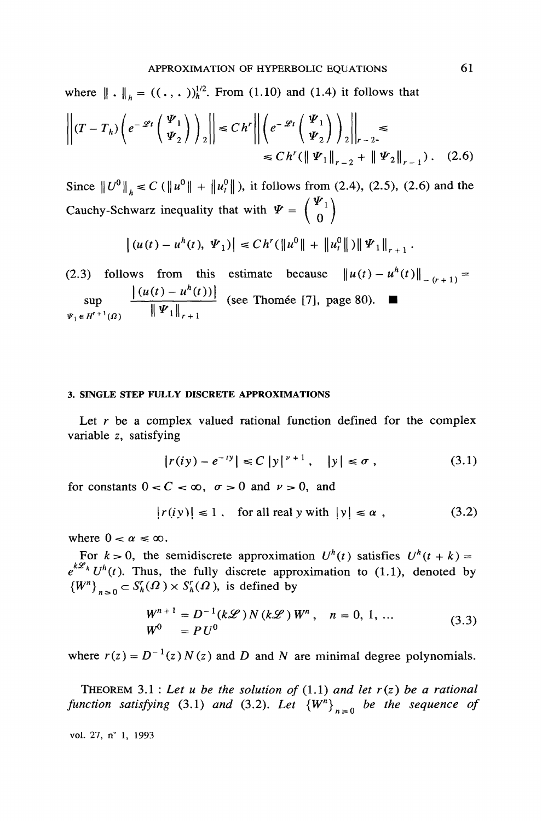where  $\|\cdot\|_h = ((\cdot, \cdot))_h^{1/2}$ . From (1.10) and (1.4) it follows that

$$
\left\| (T - T_h) \left( e^{-\mathscr{L}t} \begin{pmatrix} \mathbf{\Psi}_1 \\ \mathbf{\Psi}_2 \end{pmatrix} \right)_2 \right\| \le Ch' \left\| \left( e^{-\mathscr{L}t} \begin{pmatrix} \mathbf{\Psi}_1 \\ \mathbf{\Psi}_2 \end{pmatrix} \right)_2 \right\|_{r-2} \le
$$
  

$$
\le Ch' (\|\mathbf{\Psi}_1\|_{r-2} + \|\mathbf{\Psi}_2\|_{r-1}). \quad (2.6)
$$

Since  $\|U^0\|_{h} \le C (\|u^0\| + \|u^0\|)$ , it follows from (2.4), (2.5), (2.6) and the Cauchy-Schwarz inequality that with  $\Psi = \begin{pmatrix} \Psi_1 \\ 0 \end{pmatrix}$ 

$$
\left| \left( u(t) - u^{h}(t), \, \Psi_{1} \right) \right| \leq C h^{r} \left( \left\| u^{0} \right\| + \left\| u_{t}^{0} \right\| \right) \left\| \Psi_{1} \right\|_{r+1}
$$

(2.3) follows from this estimate because  $||u(t) - u^h(t)||_{(t+1)} =$ sup  $\frac{|(u(t) - u^h(t))|}{\|\Psi_1\|_{r+1}}$  (see Thomée [7], page 80).

#### 3. SINGLE STEP FULLY DISCRETE APPROXIMATIONS

Let  $r$  be a complex valued rational function defined for the complex variable z, satisfying

$$
|r(iy) - e^{-iy}| \le C |y|^{\nu+1}, \quad |y| \le \sigma \;, \tag{3.1}
$$

for constants  $0 < C < \infty$ ,  $\sigma > 0$  and  $\nu > 0$ , and

$$
|r(iy)| \le 1 \quad \text{for all real } y \text{ with } |y| \le \alpha \tag{3.2}
$$

where  $0 < \alpha \leq \infty$ .

For  $k > 0$ , the semidiscrete approximation  $U^{h}(t)$  satisfies  $U^{h}(t + k) =$  $e^{k\mathscr{L}_h}U^h(t)$ . Thus, the fully discrete approximation to (1.1), denoted by  ${W<sup>n</sup>}_{n>0} \subset S_h^r(\Omega) \times S_h^r(\Omega)$ , is defined by

$$
W^{n+1} = D^{-1}(k\mathscr{L}) N (k\mathscr{L}) W^n, \quad n = 0, 1, ...
$$
  
\n
$$
W^0 = PU^0
$$
\n(3.3)

where  $r(z) = D^{-1}(z) N(z)$  and D and N are minimal degree polynomials.

THEOREM 3.1 : Let u be the solution of  $(1.1)$  and let  $r(z)$  be a rational function satisfying (3.1) and (3.2). Let  ${W<sup>n</sup>}_{n>0}$  be the sequence of

vol. 27, n° 1, 1993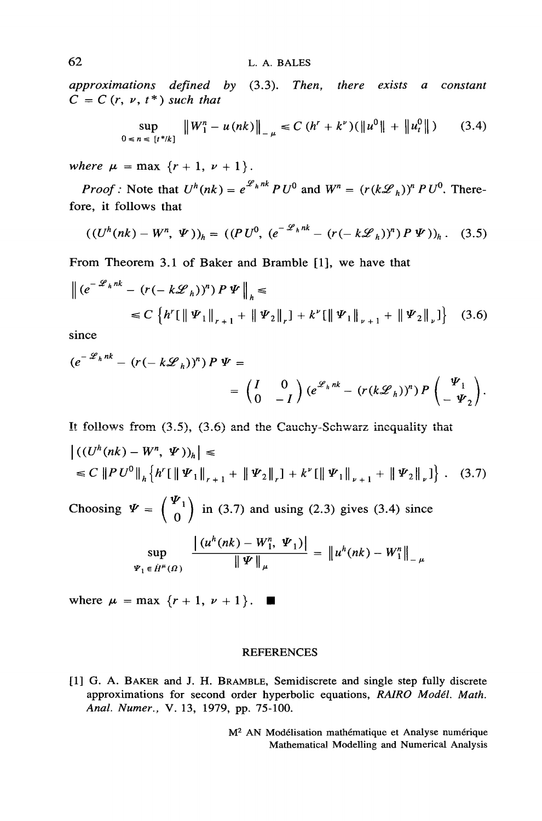approximations defined by  $(3.3)$ . Then, there exists a constant  $C = C(r, v, t^*)$  such that

$$
\sup_{0 \le n \le \{t^* / k\}} \|W_1^n - u(nk)\|_{-\mu} \le C (h^r + k^{\nu})(\|u^0\| + \|u_t^0\|) \tag{3.4}
$$

where  $\mu = \max \{r + 1, v + 1\}.$ 

*Proof*: Note that  $U^h(nk) = e^{\mathscr{L}_h n k} P U^0$  and  $W^n = (r(k\mathscr{L}_h))^n P U^0$ . Therefore, it follows that

$$
((U^{h}(nk) - W^{n}, \Psi))_{h} = ((PU^{0}, (e^{-\mathscr{L}_{h}nk} - (r(-k\mathscr{L}_{h}))^{n}) P \Psi))_{h}. \quad (3.5)
$$

From Theorem 3.1 of Baker and Bramble [1], we have that

$$
\| (e^{-\mathcal{L}_h n k} - (r(-k\mathcal{L}_h))^n) P \Psi \|_h \le
$$
  

$$
\le C \left\{ h'[\|\Psi_1\|_{r+1} + \|\Psi_2\|_r] + k^{\nu}[\|\Psi_1\|_{\nu+1} + \|\Psi_2\|_{\nu}] \right\} (3.6)
$$

since

$$
(e^{-\mathscr{L}_h nk} - (r(-k\mathscr{L}_h))^n) P \Psi =
$$
  
=  $\begin{pmatrix} I & 0 \\ 0 & -I \end{pmatrix} (e^{\mathscr{L}_h nk} - (r(k\mathscr{L}_h))^n) P \begin{pmatrix} \Psi_1 \\ -\Psi_2 \end{pmatrix}.$ 

It follows from  $(3.5)$ ,  $(3.6)$  and the Cauchy-Schwarz inequality that

$$
\left| \left( (U^{h}(nk) - W^{n}, \Psi) \right)_{h} \right| \leq
$$
  
\$\leq C \left\| P U^{0} \right\|\_{h} \left\{ h'[\Psi\_{1} \|\_{r+1} + \left\| \Psi\_{2} \right\|\_{r} ] + k^{\nu}[\left\| \Psi\_{1} \right\|\_{\nu+1} + \left\| \Psi\_{2} \right\|\_{\nu} ] \right\} .\$ (3.7)

Choosing  $\Psi = \begin{pmatrix} \Psi_1 \\ 0 \end{pmatrix}$  in (3.7) and using (2.3) gives (3.4) since

$$
\sup_{\Psi_1 \in \dot{H}^{\mu}(\Omega)} \frac{\left| \left( u^h(nk) - W_1^n, \Psi_1 \right) \right|}{\left\| \Psi \right\|_{\mu}} = \left\| u^h(nk) - W_1^n \right\|_{-\mu}
$$

where  $\mu = \max \{r+1, \nu+1\}$ .

#### **REFERENCES**

[1] G. A. BAKER and J. H. BRAMBLE, Semidiscrete and single step fully discrete approximations for second order hyperbolic equations, RAIRO Modél. Math. Anal. Numer., V. 13, 1979, pp. 75-100.

> M<sup>2</sup> AN Modélisation mathématique et Analyse numérique Mathematical Modelling and Numerical Analysis

62